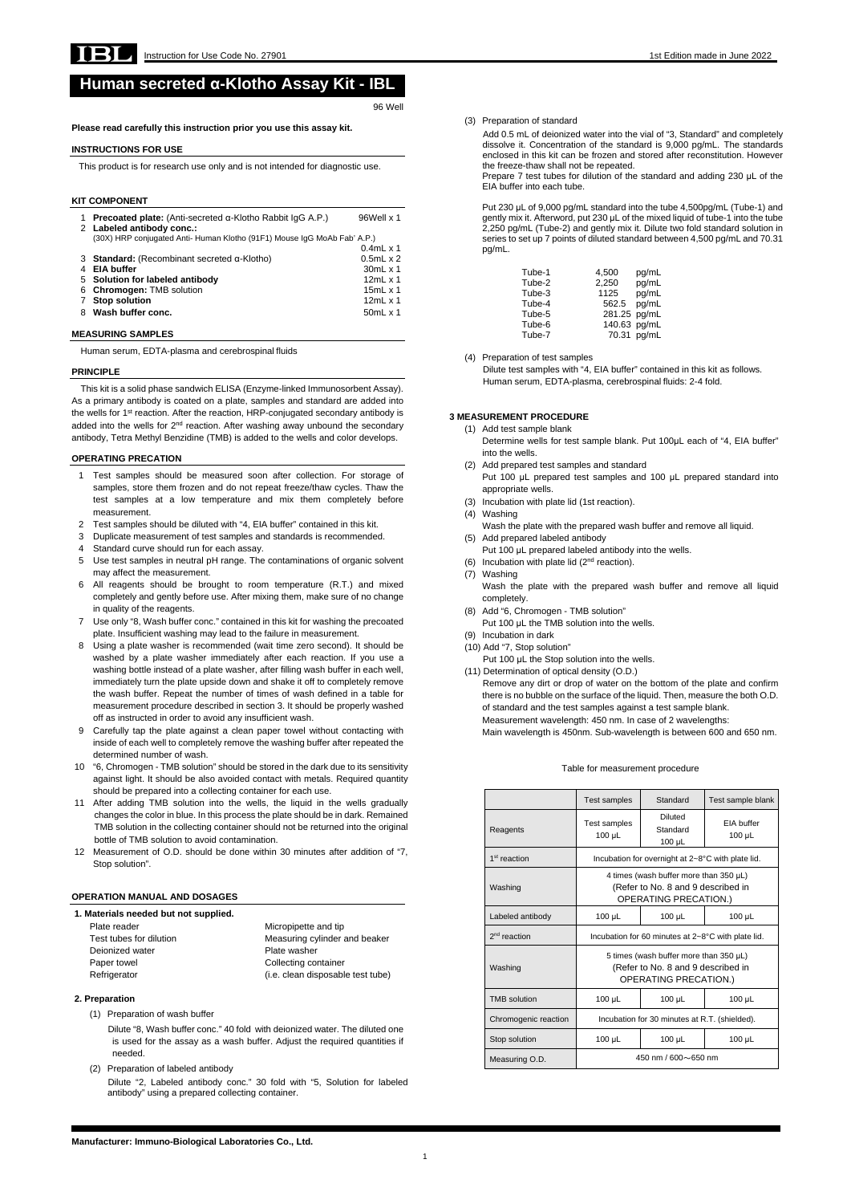

**Manufacturer: Immuno-Biological Laboratories Co., Ltd.**

# **Human secreted α-Klotho Assay Kit - IBL**

96 Well

**Please read carefully this instruction prior you use this assay kit.** 

#### **INSTRUCTIONS FOR USE**

This product is for research use only and is not intended for diagnostic use.

#### **KIT COMPONENT**

| 1. | <b>Precoated plate:</b> (Anti-secreted $\alpha$ -Klotho Rabbit IqG A.P.) | 96Well x 1       |
|----|--------------------------------------------------------------------------|------------------|
|    | 2 Labeled antibody conc.:                                                |                  |
|    | (30X) HRP conjugated Anti- Human Klotho (91F1) Mouse IgG MoAb Fab' A.P.) |                  |
|    |                                                                          | $0.4$ mL x 1     |
|    | 3 <b>Standard:</b> (Recombinant secreted $\alpha$ -Klotho)               | $0.5mL \times 2$ |
|    | <b>EIA buffer</b>                                                        | $30mL \times 1$  |
|    | 5 Solution for labeled antibody                                          | $12mL \times 1$  |
| 6  | <b>Chromogen: TMB solution</b>                                           | 15 $mL \times 1$ |
|    | <b>Stop solution</b>                                                     | 12 $mL \times 1$ |
| 8  | Wash buffer conc.                                                        | 50mL x 1         |
|    |                                                                          |                  |

#### **MEASURING SAMPLES**

Human serum, EDTA-plasma and cerebrospinal fluids

#### **PRINCIPLE**

This kit is a solid phase sandwich ELISA (Enzyme-linked Immunosorbent Assay). As a primary antibody is coated on a plate, samples and standard are added into the wells for 1<sup>st</sup> reaction. After the reaction, HRP-conjugated secondary antibody is added into the wells for  $2<sup>nd</sup>$  reaction. After washing away unbound the secondary antibody, Tetra Methyl Benzidine (TMB) is added to the wells and color develops.

## **OPERATING PRECATION**

- 1 Test samples should be measured soon after collection. For storage of samples, store them frozen and do not repeat freeze/thaw cycles. Thaw the test samples at a low temperature and mix them completely before measurement.
- 2 Test samples should be diluted with "4, EIA buffer" contained in this kit.
- 3 Duplicate measurement of test samples and standards is recommended.
- 4 Standard curve should run for each assay.
- 5 Use test samples in neutral pH range. The contaminations of organic solvent may affect the measurement.
- 6 All reagents should be brought to room temperature (R.T.) and mixed completely and gently before use. After mixing them, make sure of no change in quality of the reagents.
- 7 Use only "8, Wash buffer conc." contained in this kit for washing the precoated plate. Insufficient washing may lead to the failure in measurement.
- 8 Using a plate washer is recommended (wait time zero second). It should be washed by a plate washer immediately after each reaction. If you use a washing bottle instead of a plate washer, after filling wash buffer in each well, immediately turn the plate upside down and shake it off to completely remove the wash buffer. Repeat the number of times of wash defined in a table for measurement procedure described in section 3. It should be properly washed off as instructed in order to avoid any insufficient wash.
- 9 Carefully tap the plate against a clean paper towel without contacting with inside of each well to completely remove the washing buffer after repeated the determined number of wash.
- 10 "6, Chromogen TMB solution" should be stored in the dark due to its sensitivity against light. It should be also avoided contact with metals. Required quantity should be prepared into a collecting container for each use.
- 11 After adding TMB solution into the wells, the liquid in the wells gradually changes the color in blue. In this process the plate should be in dark. Remained TMB solution in the collecting container should not be returned into the original bottle of TMB solution to avoid contamination.
- 12 Measurement of O.D. should be done within 30 minutes after addition of "7, Stop solution".

#### **1. Materials needed but not supplied.**

| Plate reader            |  |
|-------------------------|--|
| Test tubes for dilution |  |
| Dejonized water         |  |
| Paper towel             |  |
| Refrigerator            |  |

Micropipette and tip Measuring cylinder and beaker Plate washer Collecting container (i.e. clean disposable test tube)

## **2. Preparation**

(1) Preparation of wash buffer

Dilute "8, Wash buffer conc." 40 fold with deionized water. The diluted one is used for the assay as a wash buffer. Adjust the required quantities if needed.

(2) Preparation of labeled antibody

Dilute "2, Labeled antibody conc." 30 fold with "5, Solution for labeled antibody" using a prepared collecting container.

## (3) Preparation of standard

Add 0.5 mL of deionized water into the vial of "3, Standard" and completely dissolve it. Concentration of the standard is 9,000 pg/mL. The standards enclosed in this kit can be frozen and stored after reconstitution. However the freeze-thaw shall not be repeated.

Prepare 7 test tubes for dilution of the standard and adding 230 μL of the EIA buffer into each tube.

Put 230 μL of 9,000 pg/mL standard into the tube 4,500pg/mL (Tube-1) and gently mix it. Afterword, put 230 μL of the mixed liquid of tube-1 into the tube 2,250 pg/mL (Tube-2) and gently mix it. Dilute two fold standard solution in series to set up 7 points of diluted standard between 4,500 pg/mL and 70.31 pg/mL.

| Tube-1 | 4,500        | pg/mL       |
|--------|--------------|-------------|
| Tube-2 | 2,250        | pg/mL       |
| Tube-3 | 1125         | pg/mL       |
| Tube-4 | 562.5 pg/mL  |             |
| Tube-5 | 281.25 pg/mL |             |
| Tube-6 | 140.63 pg/mL |             |
| Tube-7 |              | 70.31 pg/mL |

(4) Preparation of test samples

Dilute test samples with "4, EIA buffer" contained in this kit as follows. Human serum, EDTA-plasma, cerebrospinal fluids: 2-4 fold.

## **3 MEASUREMENT PROCEDURE**

(1) Add test sample blank

Determine wells for test sample blank. Put 100μL each of "4, EIA buffer" into the wells.

- (2) Add prepared test samples and standard Put 100 μL prepared test samples and 100 μL prepared standard into appropriate wells.
- (3) Incubation with plate lid (1st reaction).
- (4) Washing
	- Wash the plate with the prepared wash buffer and remove all liquid.
- (5) Add prepared labeled antibody
	- Put 100 μL prepared labeled antibody into the wells.
- (6) Incubation with plate lid  $(2<sup>nd</sup>$  reaction).
- (7) Washing

Wash the plate with the prepared wash buffer and remove all liquid completely.

- (8) Add "6, Chromogen TMB solution"
- Put 100 μL the TMB solution into the wells.
- (9) Incubation in dark
- (10) Add "7, Stop solution"
	- Put 100 μL the Stop solution into the wells.
- (11) Determination of optical density (O.D.) Remove any dirt or drop of water on the bottom of the plate and confirm there is no bubble on the surface of the liquid. Then, measure the both O.D. of standard and the test samples against a test sample blank. Measurement wavelength: 450 nm. In case of 2 wavelengths: Main wavelength is 450nm. Sub-wavelength is between 600 and 650 nm.

#### Table for measurement procedure

|                          | Test samples                                                                                                | Standard                           | Test sample blank         |
|--------------------------|-------------------------------------------------------------------------------------------------------------|------------------------------------|---------------------------|
| Reagents                 | Test samples<br>$100 \mu L$                                                                                 | Diluted<br>Standard<br>$100 \mu L$ | FIA buffer<br>$100 \mu L$ |
| 1 <sup>st</sup> reaction | Incubation for overnight at 2~8°C with plate lid.                                                           |                                    |                           |
| Washing                  | 4 times (wash buffer more than 350 µL)<br>(Refer to No. 8 and 9 described in<br>OPERATING PRECATION.)       |                                    |                           |
| Labeled antibody         | $100 \mu L$<br>$100 \mu L$<br>$100 \mu L$                                                                   |                                    |                           |
| $2nd$ reaction           | Incubation for 60 minutes at 2~8°C with plate lid.                                                          |                                    |                           |
| Washing                  | 5 times (wash buffer more than $350 \mu L$ )<br>(Refer to No. 8 and 9 described in<br>OPERATING PRECATION.) |                                    |                           |
| <b>TMB</b> solution      | $100 \mu L$<br>$100 \mu L$<br>$100 \mu L$                                                                   |                                    |                           |
| Chromogenic reaction     | Incubation for 30 minutes at R.T. (shielded).                                                               |                                    |                           |
| Stop solution            | $100 \mu L$<br>$100 \mu L$<br>$100 \mu L$                                                                   |                                    |                           |
| Measuring O.D.           | 450 nm / 600 $\sim$ 650 nm                                                                                  |                                    |                           |